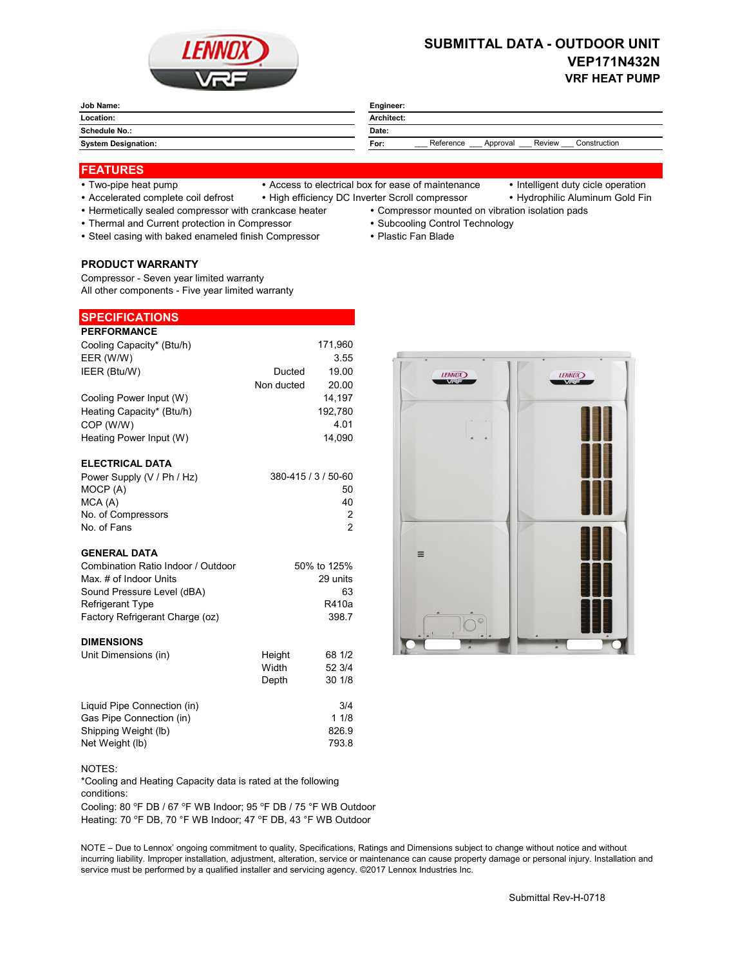

# **SUBMITTAL DATA - OUTDOOR UNIT VEP171N432N VRF HEAT PUMP**

| Job Name:                  | Engineer:                                               |  |
|----------------------------|---------------------------------------------------------|--|
| Location:                  | Architect:                                              |  |
| Schedule No.:              | Date:                                                   |  |
| <b>System Designation:</b> | Review<br>Reference<br>Construction<br>Approval<br>For: |  |

### **FEATURES**

- 
- Two-pipe heat pump Access to electrical box for ease of maintenance Intelligent duty cicle operation
	-
- Accelerated complete coil defrost High efficiency DC Inverter Scroll compressor Hydrophilic Aluminum Gold Fin
- Hermetically sealed compressor with crankcase heater Compressor mounted on vibration isolation pads
- Thermal and Current protection in Compressor Subcooling Control Technology
- Steel casing with baked enameled finish Compressor Plastic Fan Blade

**PRODUCT WARRANTY**

**SPECIFICATIONS**

Compressor - Seven year limited warranty All other components - Five year limited warranty

| <b>PERFORMANCE</b>                 |            |                     |
|------------------------------------|------------|---------------------|
| Cooling Capacity* (Btu/h)          |            | 171,960             |
| EER (W/W)                          |            | 3.55                |
| IEER (Btu/W)                       | Ducted     | 19.00               |
|                                    | Non ducted | 20.00               |
| Cooling Power Input (W)            |            | 14,197              |
| Heating Capacity* (Btu/h)          |            | 192,780             |
| COP (W/W)                          |            | 4.01                |
| Heating Power Input (W)            |            | 14.090              |
|                                    |            |                     |
| <b>ELECTRICAL DATA</b>             |            |                     |
| Power Supply (V / Ph / Hz)         |            | 380-415 / 3 / 50-60 |
| MOCP (A)                           |            | 50                  |
| MCA(A)                             |            | 40                  |
| No. of Compressors                 |            | 2                   |
| No. of Fans                        |            | $\mathcal{P}$       |
|                                    |            |                     |
| <b>GENERAL DATA</b>                |            |                     |
| Combination Ratio Indoor / Outdoor |            | 50% to 125%         |
| Max. # of Indoor Units             |            | 29 units            |
| Sound Pressure Level (dBA)         |            | 63                  |
| <b>Refrigerant Type</b>            |            | R410a               |
| Factory Refrigerant Charge (oz)    |            | 398.7               |
| <b>DIMENSIONS</b>                  |            |                     |
|                                    |            | 68 1/2              |
| Unit Dimensions (in)               | Height     |                     |



# NOTES:

\*Cooling and Heating Capacity data is rated at the following conditions:

Liquid Pipe Connection (in) 3/4 Gas Pipe Connection (in) 1 1/8 Shipping Weight (lb) 826.9 Net Weight (lb) 793.8

Cooling: 80 °F DB / 67 °F WB Indoor; 95 °F DB / 75 °F WB Outdoor Heating: 70 °F DB, 70 °F WB Indoor; 47 °F DB, 43 °F WB Outdoor

NOTE – Due to Lennox' ongoing commitment to quality, Specifications, Ratings and Dimensions subject to change without notice and without incurring liability. Improper installation, adjustment, alteration, service or maintenance can cause property damage or personal injury. Installation and service must be performed by a qualified installer and servicing agency. ©2017 Lennox Industries Inc.

Width 52 3/4 Depth 30 1/8